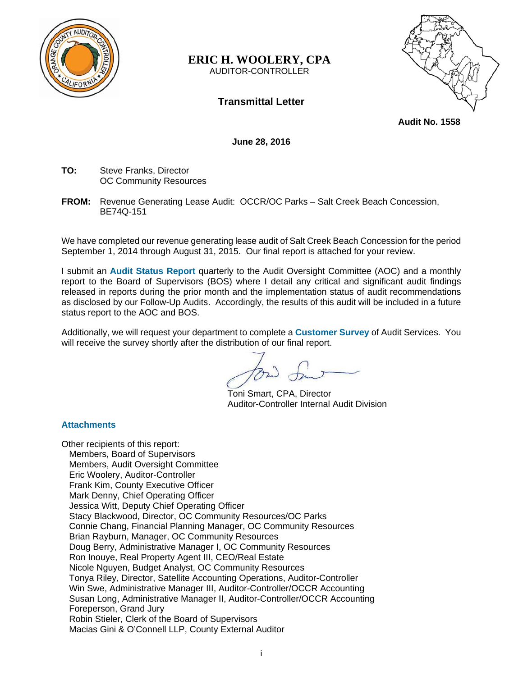

## **ERIC H. WOOLERY, CPA**  AUDITOR-CONTROLLER



**Audit No. 1558** 

**June 28, 2016** 

**Transmittal Letter** 

**TO:** Steve Franks, Director OC Community Resources

**FROM:** Revenue Generating Lease Audit: OCCR/OC Parks – Salt Creek Beach Concession, BE74Q-151

We have completed our revenue generating lease audit of Salt Creek Beach Concession for the period September 1, 2014 through August 31, 2015. Our final report is attached for your review.

I submit an **Audit Status Report** quarterly to the Audit Oversight Committee (AOC) and a monthly report to the Board of Supervisors (BOS) where I detail any critical and significant audit findings released in reports during the prior month and the implementation status of audit recommendations as disclosed by our Follow-Up Audits. Accordingly, the results of this audit will be included in a future status report to the AOC and BOS.

Additionally, we will request your department to complete a **Customer Survey** of Audit Services. You will receive the survey shortly after the distribution of our final report.

Toni Smart, CPA, Director Auditor-Controller Internal Audit Division

**Attachments** 

Other recipients of this report: Members, Board of Supervisors Members, Audit Oversight Committee Eric Woolery, Auditor-Controller Frank Kim, County Executive Officer Mark Denny, Chief Operating Officer Jessica Witt, Deputy Chief Operating Officer Stacy Blackwood, Director, OC Community Resources/OC Parks Connie Chang, Financial Planning Manager, OC Community Resources Brian Rayburn, Manager, OC Community Resources Doug Berry, Administrative Manager I, OC Community Resources Ron Inouye, Real Property Agent III, CEO/Real Estate Nicole Nguyen, Budget Analyst, OC Community Resources Tonya Riley, Director, Satellite Accounting Operations, Auditor-Controller Win Swe, Administrative Manager III, Auditor-Controller/OCCR Accounting Susan Long, Administrative Manager II, Auditor-Controller/OCCR Accounting Foreperson, Grand Jury Robin Stieler, Clerk of the Board of Supervisors Macias Gini & O'Connell LLP, County External Auditor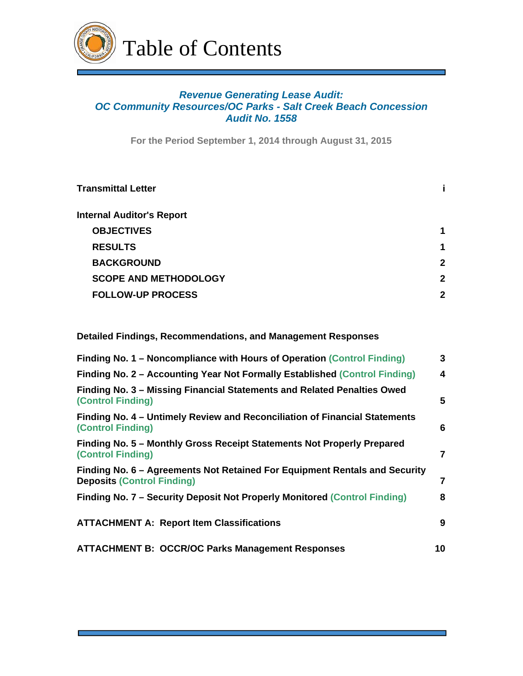

# *Revenue Generating Lease Audit: OC Community Resources/OC Parks - Salt Creek Beach Concession Audit No. 1558*

**For the Period September 1, 2014 through August 31, 2015**

| <b>Transmittal Letter</b>        |              |
|----------------------------------|--------------|
| <b>Internal Auditor's Report</b> |              |
| <b>OBJECTIVES</b>                | 1            |
| <b>RESULTS</b>                   | 1            |
| <b>BACKGROUND</b>                | $\mathbf{2}$ |
| <b>SCOPE AND METHODOLOGY</b>     | 2            |
| <b>FOLLOW-UP PROCESS</b>         | 2            |
|                                  |              |

**Detailed Findings, Recommendations, and Management Responses** 

| Finding No. 1 – Noncompliance with Hours of Operation (Control Finding)                                         | 3              |
|-----------------------------------------------------------------------------------------------------------------|----------------|
| Finding No. 2 – Accounting Year Not Formally Established (Control Finding)                                      | 4              |
| Finding No. 3 – Missing Financial Statements and Related Penalties Owed<br><b>(Control Finding)</b>             | 5              |
| Finding No. 4 – Untimely Review and Reconciliation of Financial Statements<br><b>(Control Finding)</b>          | 6              |
| Finding No. 5 – Monthly Gross Receipt Statements Not Properly Prepared<br><b>(Control Finding)</b>              | $\overline{7}$ |
| Finding No. 6 – Agreements Not Retained For Equipment Rentals and Security<br><b>Deposits (Control Finding)</b> | 7              |
| Finding No. 7 – Security Deposit Not Properly Monitored (Control Finding)                                       | 8              |
| <b>ATTACHMENT A: Report Item Classifications</b>                                                                | 9              |
| <b>ATTACHMENT B: OCCR/OC Parks Management Responses</b>                                                         | 10             |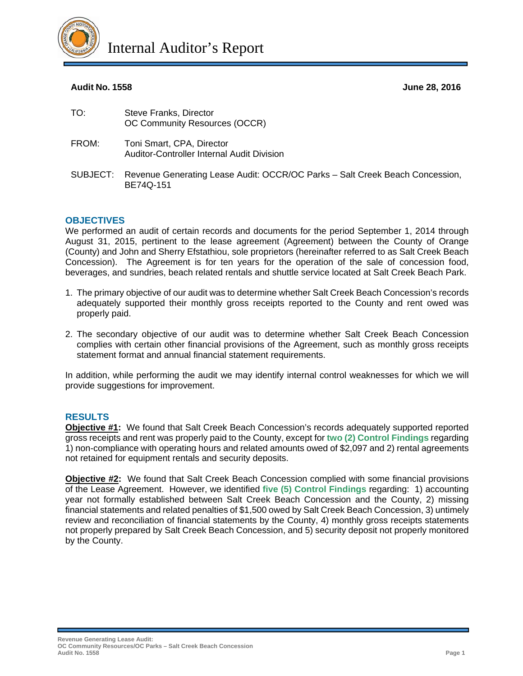

# **Audit No. 1558 June 28, 2016**

| TO:      | Steve Franks, Director<br>OC Community Resources (OCCR)                                   |
|----------|-------------------------------------------------------------------------------------------|
| FROM:    | Toni Smart, CPA, Director<br>Auditor-Controller Internal Audit Division                   |
| SUBJECT: | Revenue Generating Lease Audit: OCCR/OC Parks - Salt Creek Beach Concession,<br>BE74Q-151 |

# **OBJECTIVES**

We performed an audit of certain records and documents for the period September 1, 2014 through August 31, 2015, pertinent to the lease agreement (Agreement) between the County of Orange (County) and John and Sherry Efstathiou, sole proprietors (hereinafter referred to as Salt Creek Beach Concession). The Agreement is for ten years for the operation of the sale of concession food, beverages, and sundries, beach related rentals and shuttle service located at Salt Creek Beach Park.

- 1. The primary objective of our audit was to determine whether Salt Creek Beach Concession's records adequately supported their monthly gross receipts reported to the County and rent owed was properly paid.
- 2. The secondary objective of our audit was to determine whether Salt Creek Beach Concession complies with certain other financial provisions of the Agreement, such as monthly gross receipts statement format and annual financial statement requirements.

In addition, while performing the audit we may identify internal control weaknesses for which we will provide suggestions for improvement.

## **RESULTS**

**Objective #1:** We found that Salt Creek Beach Concession's records adequately supported reported gross receipts and rent was properly paid to the County, except for **two (2) Control Findings** regarding 1) non-compliance with operating hours and related amounts owed of \$2,097 and 2) rental agreements not retained for equipment rentals and security deposits.

**Objective #2:** We found that Salt Creek Beach Concession complied with some financial provisions of the Lease Agreement. However, we identified **five (5) Control Findings** regarding: 1) accounting year not formally established between Salt Creek Beach Concession and the County, 2) missing financial statements and related penalties of \$1,500 owed by Salt Creek Beach Concession, 3) untimely review and reconciliation of financial statements by the County, 4) monthly gross receipts statements not properly prepared by Salt Creek Beach Concession, and 5) security deposit not properly monitored by the County.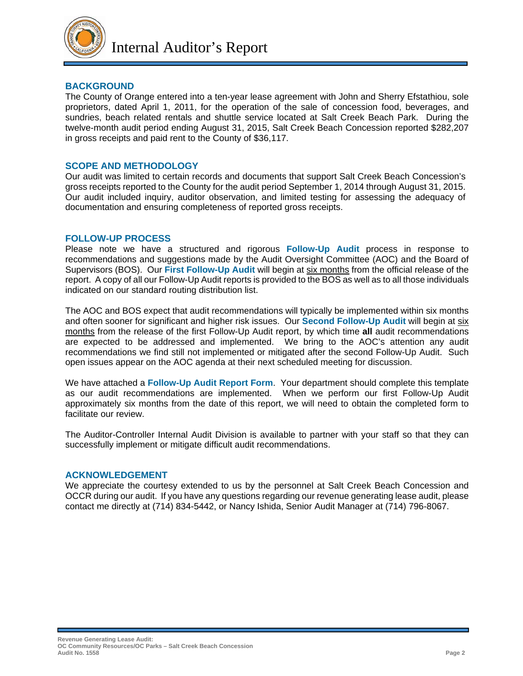

## **BACKGROUND**

The County of Orange entered into a ten-year lease agreement with John and Sherry Efstathiou, sole proprietors, dated April 1, 2011, for the operation of the sale of concession food, beverages, and sundries, beach related rentals and shuttle service located at Salt Creek Beach Park. During the twelve-month audit period ending August 31, 2015, Salt Creek Beach Concession reported \$282,207 in gross receipts and paid rent to the County of \$36,117.

## **SCOPE AND METHODOLOGY**

Our audit was limited to certain records and documents that support Salt Creek Beach Concession's gross receipts reported to the County for the audit period September 1, 2014 through August 31, 2015. Our audit included inquiry, auditor observation, and limited testing for assessing the adequacy of documentation and ensuring completeness of reported gross receipts.

#### **FOLLOW-UP PROCESS**

Please note we have a structured and rigorous **Follow-Up Audit** process in response to recommendations and suggestions made by the Audit Oversight Committee (AOC) and the Board of Supervisors (BOS). Our **First Follow-Up Audit** will begin at six months from the official release of the report. A copy of all our Follow-Up Audit reports is provided to the BOS as well as to all those individuals indicated on our standard routing distribution list.

The AOC and BOS expect that audit recommendations will typically be implemented within six months and often sooner for significant and higher risk issues. Our **Second Follow-Up Audit** will begin at six months from the release of the first Follow-Up Audit report, by which time **all** audit recommendations are expected to be addressed and implemented. We bring to the AOC's attention any audit recommendations we find still not implemented or mitigated after the second Follow-Up Audit. Such open issues appear on the AOC agenda at their next scheduled meeting for discussion.

We have attached a **Follow-Up Audit Report Form**. Your department should complete this template as our audit recommendations are implemented. When we perform our first Follow-Up Audit approximately six months from the date of this report, we will need to obtain the completed form to facilitate our review.

The Auditor-Controller Internal Audit Division is available to partner with your staff so that they can successfully implement or mitigate difficult audit recommendations.

#### **ACKNOWLEDGEMENT**

We appreciate the courtesy extended to us by the personnel at Salt Creek Beach Concession and OCCR during our audit. If you have any questions regarding our revenue generating lease audit, please contact me directly at (714) 834-5442, or Nancy Ishida, Senior Audit Manager at (714) 796-8067.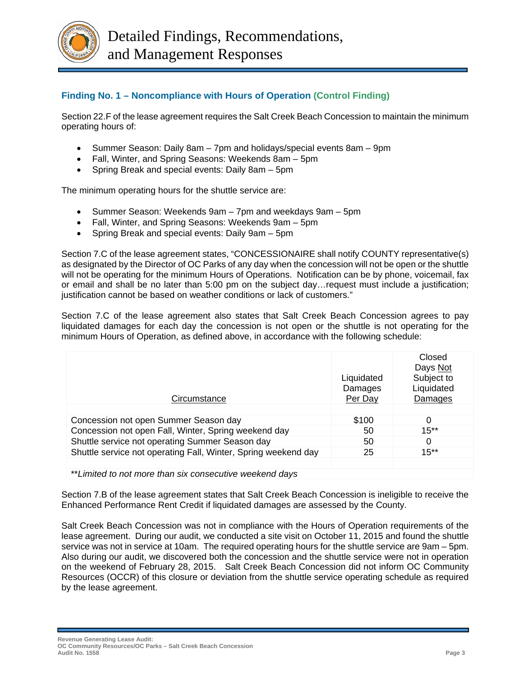

# **Finding No. 1 – Noncompliance with Hours of Operation (Control Finding)**

Section 22.F of the lease agreement requires the Salt Creek Beach Concession to maintain the minimum operating hours of:

- Summer Season: Daily 8am 7pm and holidays/special events 8am 9pm
- Fall, Winter, and Spring Seasons: Weekends 8am 5pm
- Spring Break and special events: Daily 8am 5pm

The minimum operating hours for the shuttle service are:

- Summer Season: Weekends 9am 7pm and weekdays 9am 5pm
- Fall, Winter, and Spring Seasons: Weekends 9am 5pm
- Spring Break and special events: Daily 9am 5pm

Section 7.C of the lease agreement states, "CONCESSIONAIRE shall notify COUNTY representative(s) as designated by the Director of OC Parks of any day when the concession will not be open or the shuttle will not be operating for the minimum Hours of Operations. Notification can be by phone, voicemail, fax or email and shall be no later than 5:00 pm on the subject day…request must include a justification; justification cannot be based on weather conditions or lack of customers."

Section 7.C of the lease agreement also states that Salt Creek Beach Concession agrees to pay liquidated damages for each day the concession is not open or the shuttle is not operating for the minimum Hours of Operation, as defined above, in accordance with the following schedule:

| Circumstance                                                   | Liquidated<br>Damages<br>Per Day | Closed<br>Days Not<br>Subject to<br>Liquidated<br>Damages |
|----------------------------------------------------------------|----------------------------------|-----------------------------------------------------------|
| Concession not open Summer Season day                          | \$100                            | $\Omega$                                                  |
| Concession not open Fall, Winter, Spring weekend day           | 50                               | $15**$                                                    |
| Shuttle service not operating Summer Season day                | 50                               | $\Omega$                                                  |
| Shuttle service not operating Fall, Winter, Spring weekend day | 25                               | $15***$                                                   |
|                                                                |                                  |                                                           |
| **Limited to not more than six consecutive weekend days        |                                  |                                                           |

Section 7.B of the lease agreement states that Salt Creek Beach Concession is ineligible to receive the Enhanced Performance Rent Credit if liquidated damages are assessed by the County.

Salt Creek Beach Concession was not in compliance with the Hours of Operation requirements of the lease agreement. During our audit, we conducted a site visit on October 11, 2015 and found the shuttle service was not in service at 10am. The required operating hours for the shuttle service are 9am – 5pm. Also during our audit, we discovered both the concession and the shuttle service were not in operation on the weekend of February 28, 2015. Salt Creek Beach Concession did not inform OC Community Resources (OCCR) of this closure or deviation from the shuttle service operating schedule as required by the lease agreement.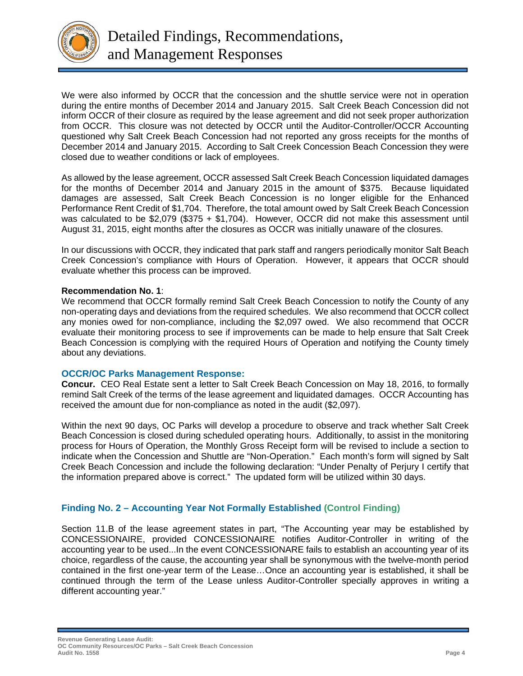

We were also informed by OCCR that the concession and the shuttle service were not in operation during the entire months of December 2014 and January 2015. Salt Creek Beach Concession did not inform OCCR of their closure as required by the lease agreement and did not seek proper authorization from OCCR. This closure was not detected by OCCR until the Auditor-Controller/OCCR Accounting questioned why Salt Creek Beach Concession had not reported any gross receipts for the months of December 2014 and January 2015. According to Salt Creek Concession Beach Concession they were closed due to weather conditions or lack of employees.

As allowed by the lease agreement, OCCR assessed Salt Creek Beach Concession liquidated damages for the months of December 2014 and January 2015 in the amount of \$375. Because liquidated damages are assessed, Salt Creek Beach Concession is no longer eligible for the Enhanced Performance Rent Credit of \$1,704. Therefore, the total amount owed by Salt Creek Beach Concession was calculated to be \$2,079 (\$375 + \$1,704). However, OCCR did not make this assessment until August 31, 2015, eight months after the closures as OCCR was initially unaware of the closures.

In our discussions with OCCR, they indicated that park staff and rangers periodically monitor Salt Beach Creek Concession's compliance with Hours of Operation. However, it appears that OCCR should evaluate whether this process can be improved.

#### **Recommendation No. 1**:

We recommend that OCCR formally remind Salt Creek Beach Concession to notify the County of any non-operating days and deviations from the required schedules. We also recommend that OCCR collect any monies owed for non-compliance, including the \$2,097 owed. We also recommend that OCCR evaluate their monitoring process to see if improvements can be made to help ensure that Salt Creek Beach Concession is complying with the required Hours of Operation and notifying the County timely about any deviations.

## **OCCR/OC Parks Management Response:**

**Concur.** CEO Real Estate sent a letter to Salt Creek Beach Concession on May 18, 2016, to formally remind Salt Creek of the terms of the lease agreement and liquidated damages. OCCR Accounting has received the amount due for non-compliance as noted in the audit (\$2,097).

Within the next 90 days, OC Parks will develop a procedure to observe and track whether Salt Creek Beach Concession is closed during scheduled operating hours. Additionally, to assist in the monitoring process for Hours of Operation, the Monthly Gross Receipt form will be revised to include a section to indicate when the Concession and Shuttle are "Non-Operation." Each month's form will signed by Salt Creek Beach Concession and include the following declaration: "Under Penalty of Perjury I certify that the information prepared above is correct." The updated form will be utilized within 30 days.

# **Finding No. 2 – Accounting Year Not Formally Established (Control Finding)**

Section 11.B of the lease agreement states in part, "The Accounting year may be established by CONCESSIONAIRE, provided CONCESSIONAIRE notifies Auditor-Controller in writing of the accounting year to be used...In the event CONCESSIONARE fails to establish an accounting year of its choice, regardless of the cause, the accounting year shall be synonymous with the twelve-month period contained in the first one-year term of the Lease…Once an accounting year is established, it shall be continued through the term of the Lease unless Auditor-Controller specially approves in writing a different accounting year."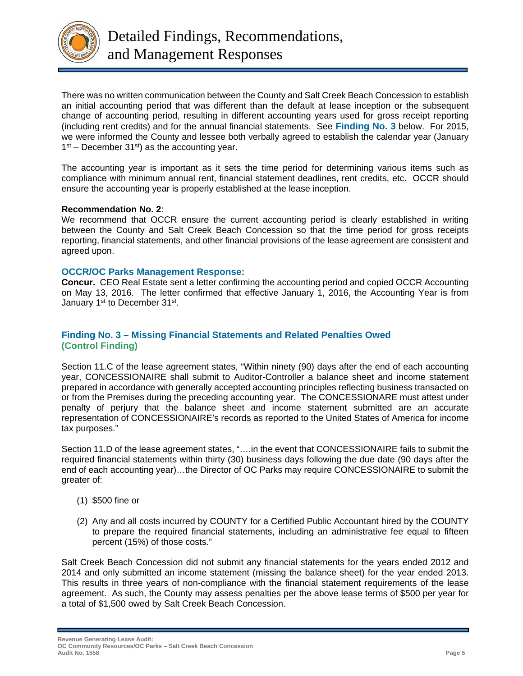

There was no written communication between the County and Salt Creek Beach Concession to establish an initial accounting period that was different than the default at lease inception or the subsequent change of accounting period, resulting in different accounting years used for gross receipt reporting (including rent credits) and for the annual financial statements. See **Finding No. 3** below. For 2015, we were informed the County and lessee both verbally agreed to establish the calendar year (January  $1<sup>st</sup>$  – December 31<sup>st</sup>) as the accounting year.

The accounting year is important as it sets the time period for determining various items such as compliance with minimum annual rent, financial statement deadlines, rent credits, etc. OCCR should ensure the accounting year is properly established at the lease inception.

## **Recommendation No. 2**:

We recommend that OCCR ensure the current accounting period is clearly established in writing between the County and Salt Creek Beach Concession so that the time period for gross receipts reporting, financial statements, and other financial provisions of the lease agreement are consistent and agreed upon.

#### **OCCR/OC Parks Management Response:**

**Concur.** CEO Real Estate sent a letter confirming the accounting period and copied OCCR Accounting on May 13, 2016. The letter confirmed that effective January 1, 2016, the Accounting Year is from January 1<sup>st</sup> to December 31<sup>st</sup>.

## **Finding No. 3 – Missing Financial Statements and Related Penalties Owed (Control Finding)**

Section 11.C of the lease agreement states, "Within ninety (90) days after the end of each accounting year, CONCESSIONAIRE shall submit to Auditor-Controller a balance sheet and income statement prepared in accordance with generally accepted accounting principles reflecting business transacted on or from the Premises during the preceding accounting year. The CONCESSIONARE must attest under penalty of perjury that the balance sheet and income statement submitted are an accurate representation of CONCESSIONAIRE's records as reported to the United States of America for income tax purposes."

Section 11.D of the lease agreement states, "….in the event that CONCESSIONAIRE fails to submit the required financial statements within thirty (30) business days following the due date (90 days after the end of each accounting year)…the Director of OC Parks may require CONCESSIONAIRE to submit the greater of:

- (1) \$500 fine or
- (2) Any and all costs incurred by COUNTY for a Certified Public Accountant hired by the COUNTY to prepare the required financial statements, including an administrative fee equal to fifteen percent (15%) of those costs."

Salt Creek Beach Concession did not submit any financial statements for the years ended 2012 and 2014 and only submitted an income statement (missing the balance sheet) for the year ended 2013. This results in three years of non-compliance with the financial statement requirements of the lease agreement. As such, the County may assess penalties per the above lease terms of \$500 per year for a total of \$1,500 owed by Salt Creek Beach Concession.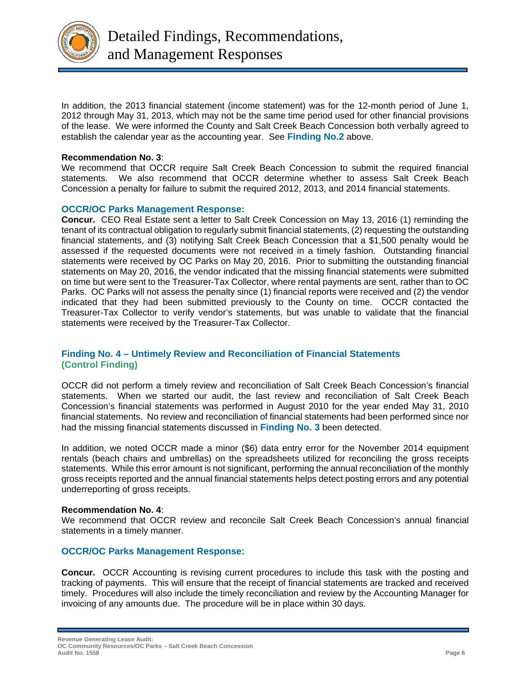

In addition, the 2013 financial statement (income statement) was for the 12-month period of June 1, 2012 through May 31, 2013, which may not be the same time period used for other financial provisions of the lease. We were informed the County and Salt Creek Beach Concession both verbally agreed to establish the calendar year as the accounting year. See **Finding No.2** above.

#### **Recommendation No. 3**:

We recommend that OCCR require Salt Creek Beach Concession to submit the required financial statements. We also recommend that OCCR determine whether to assess Salt Creek Beach Concession a penalty for failure to submit the required 2012, 2013, and 2014 financial statements.

## **OCCR/OC Parks Management Response:**

**Concur.** CEO Real Estate sent a letter to Salt Creek Concession on May 13, 2016 (1) reminding the tenant of its contractual obligation to regularly submit financial statements, (2) requesting the outstanding financial statements, and (3) notifying Salt Creek Beach Concession that a \$1,500 penalty would be assessed if the requested documents were not received in a timely fashion. Outstanding financial statements were received by OC Parks on May 20, 2016. Prior to submitting the outstanding financial statements on May 20, 2016, the vendor indicated that the missing financial statements were submitted on time but were sent to the Treasurer-Tax Collector, where rental payments are sent, rather than to OC Parks. OC Parks will not assess the penalty since (1) financial reports were received and (2) the vendor indicated that they had been submitted previously to the County on time. OCCR contacted the Treasurer-Tax Collector to verify vendor's statements, but was unable to validate that the financial statements were received by the Treasurer-Tax Collector.

# **Finding No. 4 – Untimely Review and Reconciliation of Financial Statements (Control Finding)**

OCCR did not perform a timely review and reconciliation of Salt Creek Beach Concession's financial statements. When we started our audit, the last review and reconciliation of Salt Creek Beach Concession's financial statements was performed in August 2010 for the year ended May 31, 2010 financial statements. No review and reconciliation of financial statements had been performed since nor had the missing financial statements discussed in **Finding No. 3** been detected.

In addition, we noted OCCR made a minor (\$6) data entry error for the November 2014 equipment rentals (beach chairs and umbrellas) on the spreadsheets utilized for reconciling the gross receipts statements. While this error amount is not significant, performing the annual reconciliation of the monthly gross receipts reported and the annual financial statements helps detect posting errors and any potential underreporting of gross receipts.

## **Recommendation No. 4**:

We recommend that OCCR review and reconcile Salt Creek Beach Concession's annual financial statements in a timely manner.

## **OCCR/OC Parks Management Response:**

**Concur.** OCCR Accounting is revising current procedures to include this task with the posting and tracking of payments. This will ensure that the receipt of financial statements are tracked and received timely. Procedures will also include the timely reconciliation and review by the Accounting Manager for invoicing of any amounts due. The procedure will be in place within 30 days.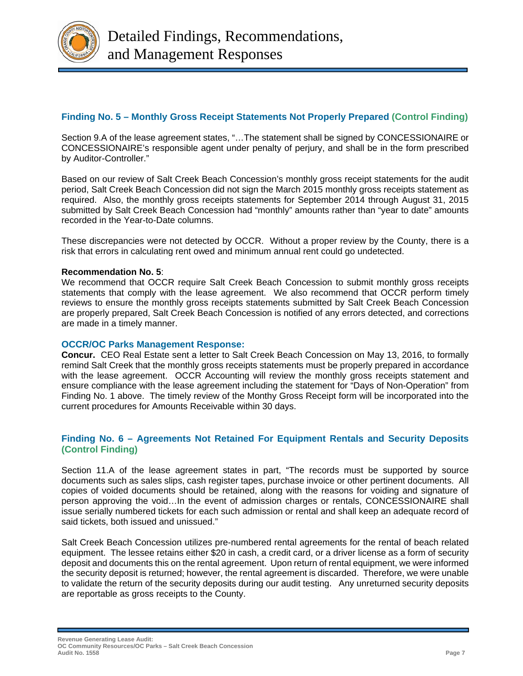

# **Finding No. 5 – Monthly Gross Receipt Statements Not Properly Prepared (Control Finding)**

Section 9.A of the lease agreement states, "…The statement shall be signed by CONCESSIONAIRE or CONCESSIONAIRE's responsible agent under penalty of perjury, and shall be in the form prescribed by Auditor-Controller."

Based on our review of Salt Creek Beach Concession's monthly gross receipt statements for the audit period, Salt Creek Beach Concession did not sign the March 2015 monthly gross receipts statement as required. Also, the monthly gross receipts statements for September 2014 through August 31, 2015 submitted by Salt Creek Beach Concession had "monthly" amounts rather than "year to date" amounts recorded in the Year-to-Date columns.

These discrepancies were not detected by OCCR. Without a proper review by the County, there is a risk that errors in calculating rent owed and minimum annual rent could go undetected.

## **Recommendation No. 5**:

We recommend that OCCR require Salt Creek Beach Concession to submit monthly gross receipts statements that comply with the lease agreement. We also recommend that OCCR perform timely reviews to ensure the monthly gross receipts statements submitted by Salt Creek Beach Concession are properly prepared, Salt Creek Beach Concession is notified of any errors detected, and corrections are made in a timely manner.

## **OCCR/OC Parks Management Response:**

**Concur.** CEO Real Estate sent a letter to Salt Creek Beach Concession on May 13, 2016, to formally remind Salt Creek that the monthly gross receipts statements must be properly prepared in accordance with the lease agreement. OCCR Accounting will review the monthly gross receipts statement and ensure compliance with the lease agreement including the statement for "Days of Non-Operation" from Finding No. 1 above. The timely review of the Monthy Gross Receipt form will be incorporated into the current procedures for Amounts Receivable within 30 days.

## **Finding No. 6 – Agreements Not Retained For Equipment Rentals and Security Deposits (Control Finding)**

Section 11.A of the lease agreement states in part, "The records must be supported by source documents such as sales slips, cash register tapes, purchase invoice or other pertinent documents. All copies of voided documents should be retained, along with the reasons for voiding and signature of person approving the void…In the event of admission charges or rentals, CONCESSIONAIRE shall issue serially numbered tickets for each such admission or rental and shall keep an adequate record of said tickets, both issued and unissued."

Salt Creek Beach Concession utilizes pre-numbered rental agreements for the rental of beach related equipment. The lessee retains either \$20 in cash, a credit card, or a driver license as a form of security deposit and documents this on the rental agreement. Upon return of rental equipment, we were informed the security deposit is returned; however, the rental agreement is discarded. Therefore, we were unable to validate the return of the security deposits during our audit testing. Any unreturned security deposits are reportable as gross receipts to the County.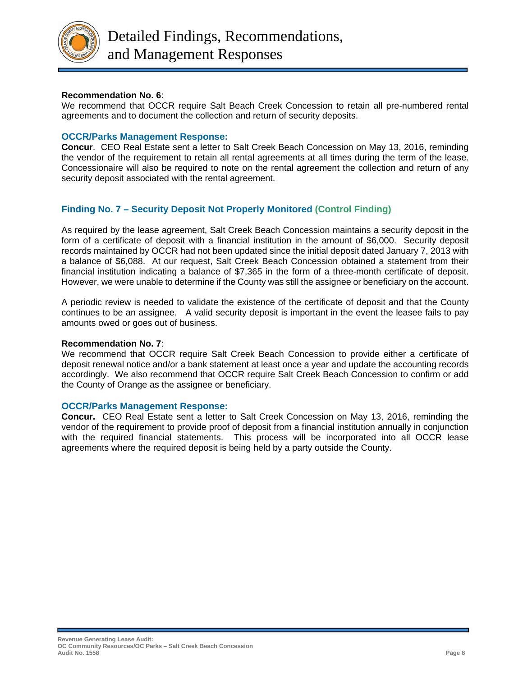

## **Recommendation No. 6**:

We recommend that OCCR require Salt Beach Creek Concession to retain all pre-numbered rental agreements and to document the collection and return of security deposits.

## **OCCR/Parks Management Response:**

**Concur**. CEO Real Estate sent a letter to Salt Creek Beach Concession on May 13, 2016, reminding the vendor of the requirement to retain all rental agreements at all times during the term of the lease. Concessionaire will also be required to note on the rental agreement the collection and return of any security deposit associated with the rental agreement.

# **Finding No. 7 – Security Deposit Not Properly Monitored (Control Finding)**

As required by the lease agreement, Salt Creek Beach Concession maintains a security deposit in the form of a certificate of deposit with a financial institution in the amount of \$6,000. Security deposit records maintained by OCCR had not been updated since the initial deposit dated January 7, 2013 with a balance of \$6,088. At our request, Salt Creek Beach Concession obtained a statement from their financial institution indicating a balance of \$7,365 in the form of a three-month certificate of deposit. However, we were unable to determine if the County was still the assignee or beneficiary on the account.

A periodic review is needed to validate the existence of the certificate of deposit and that the County continues to be an assignee. A valid security deposit is important in the event the leasee fails to pay amounts owed or goes out of business.

## **Recommendation No. 7**:

We recommend that OCCR require Salt Creek Beach Concession to provide either a certificate of deposit renewal notice and/or a bank statement at least once a year and update the accounting records accordingly. We also recommend that OCCR require Salt Creek Beach Concession to confirm or add the County of Orange as the assignee or beneficiary.

## **OCCR/Parks Management Response:**

**Concur.** CEO Real Estate sent a letter to Salt Creek Concession on May 13, 2016, reminding the vendor of the requirement to provide proof of deposit from a financial institution annually in conjunction with the required financial statements. This process will be incorporated into all OCCR lease agreements where the required deposit is being held by a party outside the County.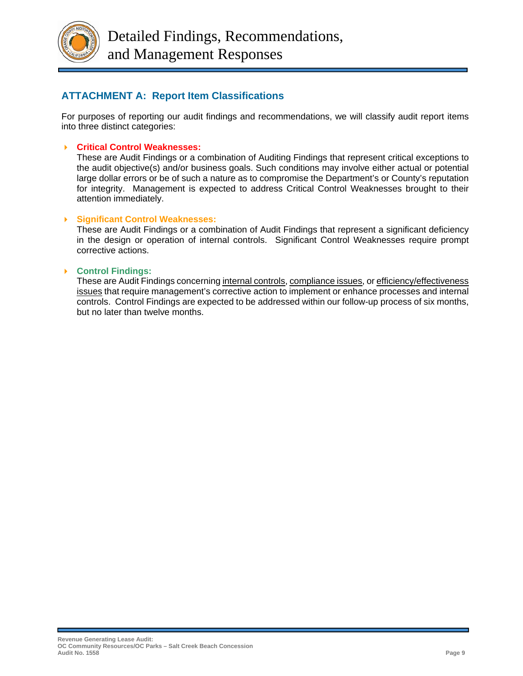

# **ATTACHMENT A: Report Item Classifications**

For purposes of reporting our audit findings and recommendations, we will classify audit report items into three distinct categories:

#### **Critical Control Weaknesses:**

These are Audit Findings or a combination of Auditing Findings that represent critical exceptions to the audit objective(s) and/or business goals. Such conditions may involve either actual or potential large dollar errors or be of such a nature as to compromise the Department's or County's reputation for integrity. Management is expected to address Critical Control Weaknesses brought to their attention immediately.

#### **Significant Control Weaknesses:**

These are Audit Findings or a combination of Audit Findings that represent a significant deficiency in the design or operation of internal controls. Significant Control Weaknesses require prompt corrective actions.

#### **Control Findings:**

These are Audit Findings concerning internal controls, compliance issues, or efficiency/effectiveness issues that require management's corrective action to implement or enhance processes and internal controls. Control Findings are expected to be addressed within our follow-up process of six months, but no later than twelve months.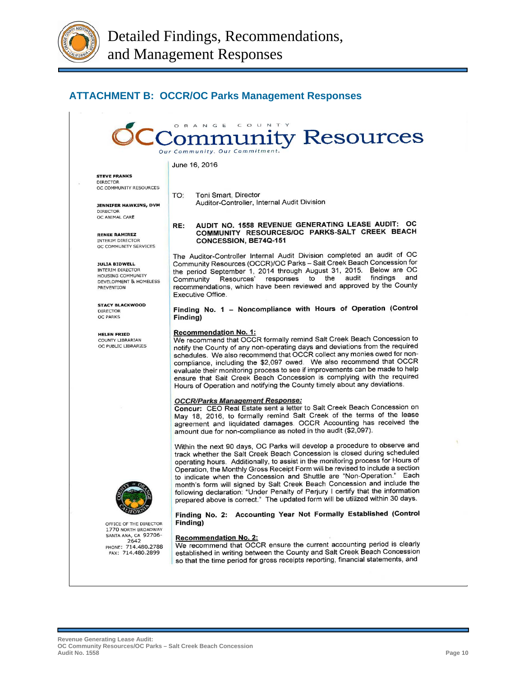

# **ATTACHMENT B: OCCR/OC Parks Management Responses**



June 16, 2016

**STEVE FRANKS** 

**DIRECTOR** OC COMMUNITY RESOURCES

TO: Toni Smart, Director Auditor-Controller, Internal Audit Division

**JENNIFER HAWKINS, DVM** DIRECTOR OC ANIMAL CARE

**RENEE RAMIREZ** INTERIM DIRECTOR OC COMMUNITY SERVICES

#### **JULIA BIDWELL**

INTERIM DIRECTOR **HOUSING COMMUNITY** DEVELOPMENT & HOMELESS **PREVENTION** 

**STACY BLACKWOOD** DIRECTOR **OC PARKS** 

#### **HELEN FRIED**

COUNTY LIBRARIAN OC PUBLIC LIBRARIES



OFFICE OF THE DIRECTOR 1770 NORTH BROADWAY SANTA ANA, CA 92706-<br>2642 PHONE: 714.480.2788 FAX: 714,480,2899

#### AUDIT NO. 1558 REVENUE GENERATING LEASE AUDIT: OC RE: COMMUNITY RESOURCES/OC PARKS-SALT CREEK BEACH CONCESSION, BE74Q-151

The Auditor-Controller Internal Audit Division completed an audit of OC Community Resources (OCCR)/OC Parks - Salt Creek Beach Concession for the period September 1, 2014 through August 31, 2015. Below are OC<br>Community Resources' responses to the audit findings and recommendations, which have been reviewed and approved by the County **Executive Office.** 

#### Finding No. 1 - Noncompliance with Hours of Operation (Control Finding)

#### **Recommendation No. 1:**

We recommend that OCCR formally remind Salt Creek Beach Concession to notify the County of any non-operating days and deviations from the required schedules. We also recommend that OCCR collect any monies owed for noncompliance, including the \$2,097 owed. We also recommend that OCCR evaluate their monitoring process to see if improvements can be made to help ensure that Salt Creek Beach Concession is complying with the required Hours of Operation and notifying the County timely about any deviations.

#### **OCCR/Parks Management Response:**

Concur: CEO Real Estate sent a letter to Salt Creek Beach Concession on May 18, 2016, to formally remind Salt Creek of the terms of the lease agreement and liquidated damages. OCCR Accounting has received the amount due for non-compliance as noted in the audit (\$2,097).

Within the next 90 days, OC Parks will develop a procedure to observe and track whether the Salt Creek Beach Concession is closed during scheduled operating hours. Additionally, to assist in the monitoring process for Hours of Operation, the Monthly Gross Receipt Form will be revised to include a section to indicate when the Concession and Shuttle are "Non-Operation." Each month's form will signed by Salt Creek Beach Concession and include the following declaration: "Under Penalty of Perjury I certify that the information prepared above is correct." The updated form will be utilized within 30 days.

Finding No. 2: Accounting Year Not Formally Established (Control Finding)

#### **Recommendation No. 2**

We recommend that OCCR ensure the current accounting period is clearly established in writing between the County and Salt Creek Beach Concession so that the time period for gross receipts reporting, financial statements, and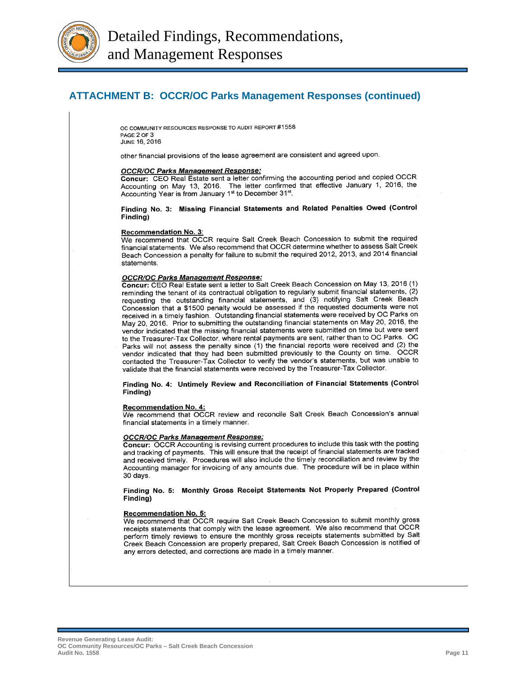

# **ATTACHMENT B: OCCR/OC Parks Management Responses (continued)**

OC COMMUNITY RESOURCES RESPONSE TO AUDIT REPORT #1558 PAGE 2 OF 3 JUNE 16, 2016

other financial provisions of the lease agreement are consistent and agreed upon.

#### **OCCR/OC Parks Management Response:**

Concur: CEO Real Estate sent a letter confirming the accounting period and copied OCCR Accounting on May 13, 2016. The letter confirmed that effective January 1, 2016, the Accounting Year is from January 1<sup>st</sup> to December 31<sup>st</sup>.

Finding No. 3: Missing Financial Statements and Related Penalties Owed (Control Finding)

#### Recommendation No. 3:

We recommend that OCCR require Salt Creek Beach Concession to submit the required financial statements. We also recommend that OCCR determine whether to assess Salt Creek Beach Concession a penalty for failure to submit the required 2012, 2013, and 2014 financial statements.

#### **OCCR/OC Parks Management Response:**

Concur: CEO Real Estate sent a letter to Salt Creek Beach Concession on May 13, 2016 (1) reminding the tenant of its contractual obligation to regularly submit financial statements, (2) requesting the outstanding financial statements, and (3) notifying Salt Creek Beach Concession that a \$1500 penalty would be assessed if the requested documents were not received in a timely fashion. Outstanding financial statements were received by OC Parks on May 20, 2016. Prior to submitting the outstanding financial statements on May 20, 2016, the vendor indicated that the missing financial statements were submitted on time but were sent to the Treasurer-Tax Collector, where rental payments are sent, rather than to OC Parks. OC Parks will not assess the penalty since (1) the financial reports were received and (2) the vendor indicated that they had been submitted previously to the County on time. OCCR contacted the Treasurer-Tax Collector to verify the vendor's statements, but was unable to validate that the financial statements were received by the Treasurer-Tax Collector.

#### Finding No. 4: Untimely Review and Reconciliation of Financial Statements (Control Finding)

#### **Recommendation No. 4:**

We recommend that OCCR review and reconcile Salt Creek Beach Concession's annual financial statements in a timely manner.

#### **OCCR/OC Parks Management Response:**

Concur: OCCR Accounting is revising current procedures to include this task with the posting and tracking of payments. This will ensure that the receipt of financial statements are tracked and received timely. Procedures will also include the timely reconciliation and review by the Accounting manager for invoicing of any amounts due. The procedure will be in place within 30 days.

#### Finding No. 5: Monthly Gross Receipt Statements Not Properly Prepared (Control Finding)

#### **Recommendation No. 5:**

We recommend that OCCR require Salt Creek Beach Concession to submit monthly gross receipts statements that comply with the lease agreement. We also recommend that OCCR perform timely reviews to ensure the monthly gross receipts statements submitted by Salt Creek Beach Concession are properly prepared, Salt Creek Beach Concession is notified of any errors detected, and corrections are made in a timely manner.